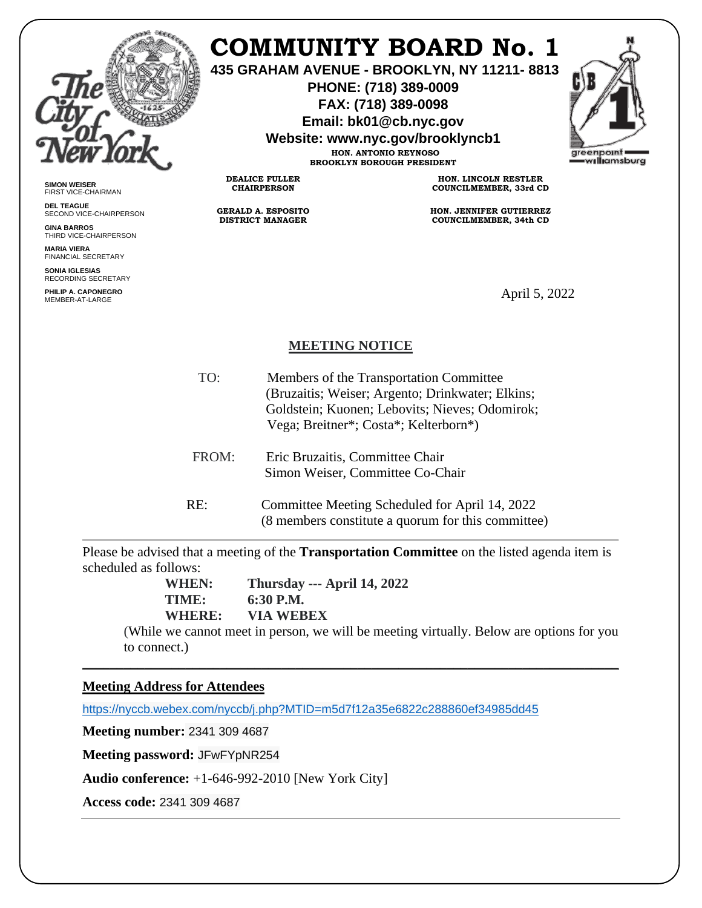

## **COMMUNITY BOARD No. 1**

**435 GRAHAM AVENUE - BROOKLYN, NY 11211- 8813**

**PHONE: (718) 389-0009 FAX: (718) 389-0098**

**Email: bk01@cb.nyc.gov**

**Website: www.nyc.gov/brooklyncb1**

**HON. ANTONIO REYNOSO BROOKLYN BOROUGH PRESIDENT**



**SIMON WEISER** FIRST VICE-CHAIRMAN

**DEL TEAGUE** SECOND VICE-CHAIRPERSON

**GINA BARROS** THIRD VICE-CHAIRPERSON

**MARIA VIERA** FINANCIAL SECRETARY

**SONIA IGLESIAS** RECORDING SECRETARY

**PHILIP A. CAPONEGRO** PHILIP A. CAPONEGRO<br>MEMBER-AT-LARGE APPORTUNGER APPENDIX OF THE SERVICE OF THE SERVICE OF THE SERVICE OF THE SERVICE OF THE SERVIC

**HON. LINCOLN RESTLER COUNCILMEMBER, 33rd CD**

**HON. JENNIFER GUTIERREZ COUNCILMEMBER, 34th CD**

## **MEETING NOTICE**

- TO: Members of the Transportation Committee (Bruzaitis; Weiser; Argento; Drinkwater; Elkins; Goldstein; Kuonen; Lebovits; Nieves; Odomirok; Vega; Breitner\*; Costa\*; Kelterborn\*) FROM: Eric Bruzaitis, Committee Chair Simon Weiser, Committee Co-Chair
- RE: Committee Meeting Scheduled for April 14, 2022 (8 members constitute a quorum for this committee)

Please be advised that a meeting of the **Transportation Committee** on the listed agenda item is scheduled as follows:

\_\_\_\_\_\_\_\_\_\_\_\_\_\_\_\_\_\_\_\_\_\_\_\_\_\_\_\_\_\_\_\_\_\_\_\_\_\_\_\_\_\_\_\_\_\_\_\_\_\_\_\_\_\_\_\_\_\_\_\_\_\_\_\_\_\_\_\_\_\_\_\_\_\_\_\_\_\_

**WHEN: Thursday --- April 14, 2022 TIME: 6:30 P.M. WHERE: VIA WEBEX**

**DEALICE FULLER CHAIRPERSON**

**GERALD A. ESPOSITO DISTRICT MANAGER**

(While we cannot meet in person, we will be meeting virtually. Below are options for you to connect.)

## **Meeting Address for Attendees**

<https://nyccb.webex.com/nyccb/j.php?MTID=m5d7f12a35e6822c288860ef34985dd45>

**Meeting number:** 2341 309 4687

**Meeting password:** JFwFYpNR254

**Audio conference:** +1-646-992-2010 [New York City]

**Access code:** 2341 309 4687